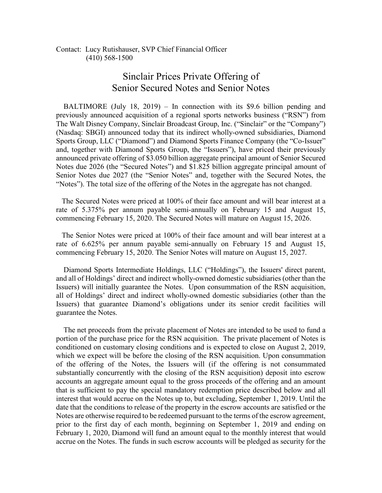Contact: Lucy Rutishauser, SVP Chief Financial Officer (410) 568-1500

## Sinclair Prices Private Offering of Senior Secured Notes and Senior Notes

 BALTIMORE (July 18, 2019) – In connection with its \$9.6 billion pending and previously announced acquisition of a regional sports networks business ("RSN") from The Walt Disney Company, Sinclair Broadcast Group, Inc. ("Sinclair" or the "Company") (Nasdaq: SBGI) announced today that its indirect wholly-owned subsidiaries, Diamond Sports Group, LLC ("Diamond") and Diamond Sports Finance Company (the "Co-Issuer" and, together with Diamond Sports Group, the "Issuers"), have priced their previously announced private offering of \$3.050 billion aggregate principal amount of Senior Secured Notes due 2026 (the "Secured Notes") and \$1.825 billion aggregate principal amount of Senior Notes due 2027 (the "Senior Notes" and, together with the Secured Notes, the "Notes"). The total size of the offering of the Notes in the aggregate has not changed.

 The Secured Notes were priced at 100% of their face amount and will bear interest at a rate of 5.375% per annum payable semi-annually on February 15 and August 15, commencing February 15, 2020. The Secured Notes will mature on August 15, 2026.

 The Senior Notes were priced at 100% of their face amount and will bear interest at a rate of 6.625% per annum payable semi-annually on February 15 and August 15, commencing February 15, 2020. The Senior Notes will mature on August 15, 2027.

 Diamond Sports Intermediate Holdings, LLC ("Holdings"), the Issuers' direct parent, and all of Holdings' direct and indirect wholly-owned domestic subsidiaries (other than the Issuers) will initially guarantee the Notes. Upon consummation of the RSN acquisition, all of Holdings' direct and indirect wholly-owned domestic subsidiaries (other than the Issuers) that guarantee Diamond's obligations under its senior credit facilities will guarantee the Notes.

 The net proceeds from the private placement of Notes are intended to be used to fund a portion of the purchase price for the RSN acquisition. The private placement of Notes is conditioned on customary closing conditions and is expected to close on August 2, 2019, which we expect will be before the closing of the RSN acquisition. Upon consummation of the offering of the Notes, the Issuers will (if the offering is not consummated substantially concurrently with the closing of the RSN acquisition) deposit into escrow accounts an aggregate amount equal to the gross proceeds of the offering and an amount that is sufficient to pay the special mandatory redemption price described below and all interest that would accrue on the Notes up to, but excluding, September 1, 2019. Until the date that the conditions to release of the property in the escrow accounts are satisfied or the Notes are otherwise required to be redeemed pursuant to the terms of the escrow agreement, prior to the first day of each month, beginning on September 1, 2019 and ending on February 1, 2020, Diamond will fund an amount equal to the monthly interest that would accrue on the Notes. The funds in such escrow accounts will be pledged as security for the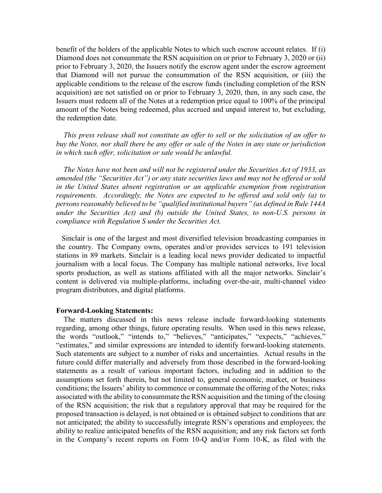benefit of the holders of the applicable Notes to which such escrow account relates. If (i) Diamond does not consummate the RSN acquisition on or prior to February 3, 2020 or (ii) prior to February 3, 2020, the Issuers notify the escrow agent under the escrow agreement that Diamond will not pursue the consummation of the RSN acquisition, or (iii) the applicable conditions to the release of the escrow funds (including completion of the RSN acquisition) are not satisfied on or prior to February 3, 2020, then, in any such case, the Issuers must redeem all of the Notes at a redemption price equal to 100% of the principal amount of the Notes being redeemed, plus accrued and unpaid interest to, but excluding, the redemption date.

 *This press release shall not constitute an offer to sell or the solicitation of an offer to buy the Notes, nor shall there be any offer or sale of the Notes in any state or jurisdiction in which such offer, solicitation or sale would be unlawful.*

 *The Notes have not been and will not be registered under the Securities Act of 1933, as amended (the "Securities Act") or any state securities laws and may not be offered or sold in the United States absent registration or an applicable exemption from registration requirements. Accordingly, the Notes are expected to be offered and sold only (a) to persons reasonably believed to be "qualified institutional buyers" (as defined in Rule 144A under the Securities Act) and (b) outside the United States, to non-U.S. persons in compliance with Regulation S under the Securities Act.*

 Sinclair is one of the largest and most diversified television broadcasting companies in the country. The Company owns, operates and/or provides services to 191 television stations in 89 markets. Sinclair is a leading local news provider dedicated to impactful journalism with a local focus. The Company has multiple national networks, live local sports production, as well as stations affiliated with all the major networks. Sinclair's content is delivered via multiple-platforms, including over-the-air, multi-channel video program distributors, and digital platforms.

## **Forward-Looking Statements:**

 The matters discussed in this news release include forward-looking statements regarding, among other things, future operating results. When used in this news release, the words "outlook," "intends to," "believes," "anticipates," "expects," "achieves," "estimates," and similar expressions are intended to identify forward-looking statements. Such statements are subject to a number of risks and uncertainties. Actual results in the future could differ materially and adversely from those described in the forward-looking statements as a result of various important factors, including and in addition to the assumptions set forth therein, but not limited to, general economic, market, or business conditions; the Issuers' ability to commence or consummate the offering of the Notes; risks associated with the ability to consummate the RSN acquisition and the timing of the closing of the RSN acquisition; the risk that a regulatory approval that may be required for the proposed transaction is delayed, is not obtained or is obtained subject to conditions that are not anticipated; the ability to successfully integrate RSN's operations and employees; the ability to realize anticipated benefits of the RSN acquisition; and any risk factors set forth in the Company's recent reports on Form 10-Q and/or Form 10-K, as filed with the